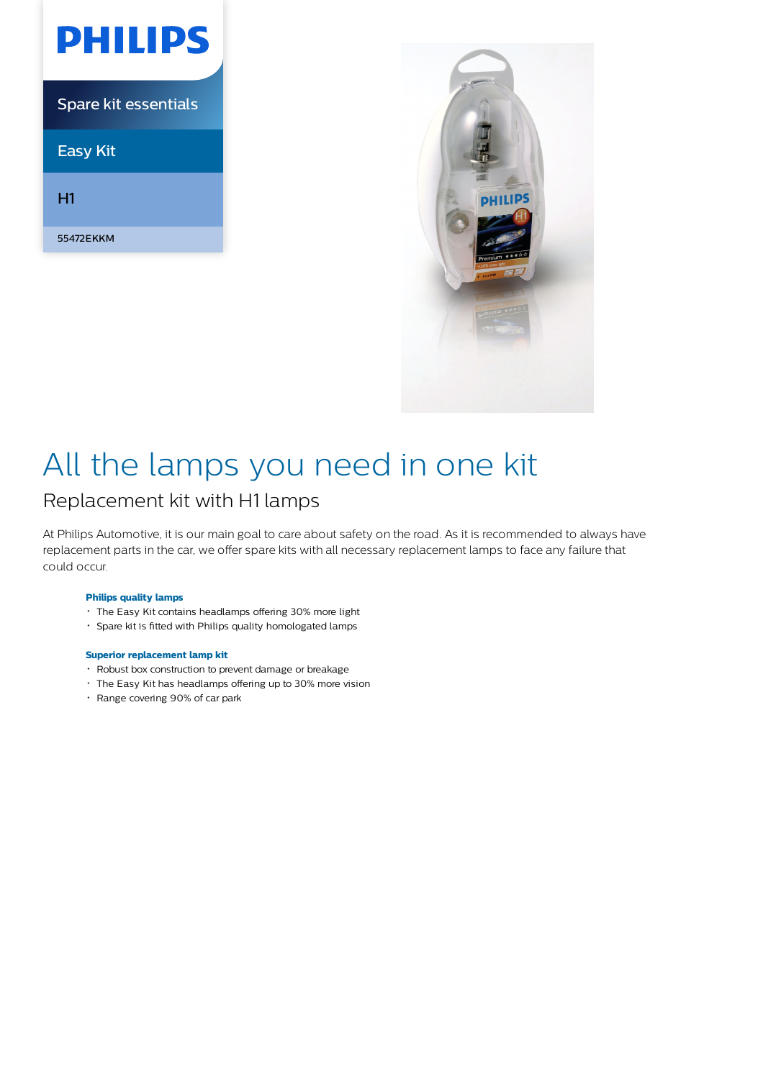| PHILIPS                     |
|-----------------------------|
| <b>Spare kit essentials</b> |
| <b>Easy Kit</b>             |
| Н1                          |
| 55472EKKM                   |



# All the lamps you need in one kit

# Replacement kit with H1 lamps

At Philips Automotive, it is our main goal to care about safety on the road. As it is recommended to always have replacement parts in the car, we offer spare kits with all necessary replacement lamps to face any failure that could occur.

### **Philips quality lamps**

- The Easy Kit contains headlamps offering 30% more light
- Spare kit is fitted with Philips quality homologated lamps

### **Superior replacement lamp kit**

- Robust box construction to prevent damage or breakage
- The Easy Kit has headlamps offering up to 30% more vision
- Range covering 90% of car park